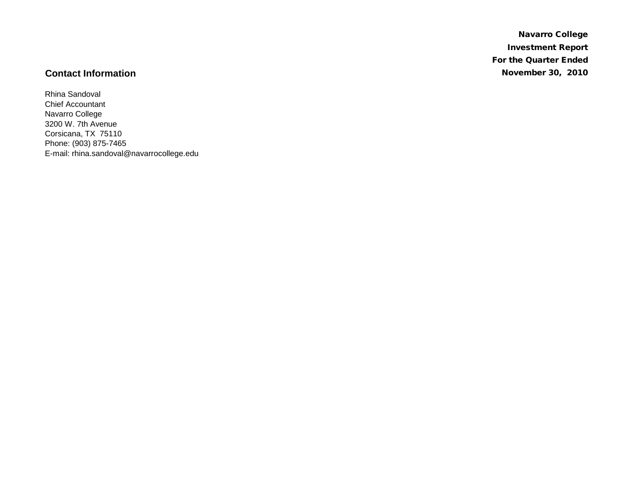Navarro College Investment Report For the Quarter Ended **Contact Information** November 30, 2010

Rhina Sandoval Chief Accountant Navarro College 3200 W. 7th Avenue Corsicana, TX 75110 Phone: (903) 875-7465 E-mail: rhina.sandoval@navarrocollege.edu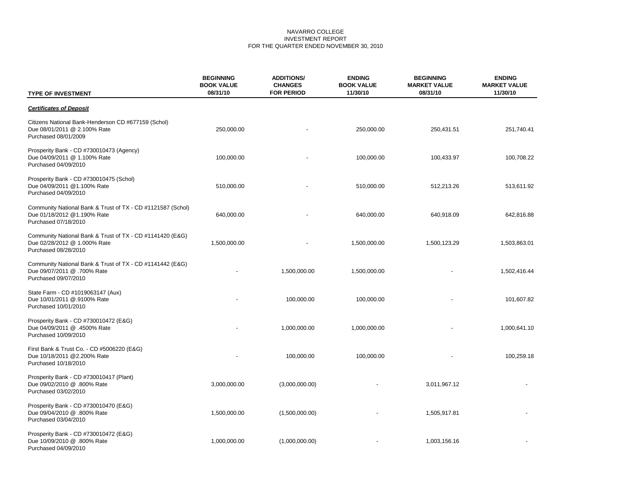## NAVARRO COLLEGE INVESTMENT REPORT FOR THE QUARTER ENDED NOVEMBER 30, 2010

| <b>TYPE OF INVESTMENT</b>                                                                                          | <b>BEGINNING</b><br><b>BOOK VALUE</b><br>08/31/10 | <b>ADDITIONS/</b><br><b>CHANGES</b><br><b>FOR PERIOD</b> | <b>ENDING</b><br><b>BOOK VALUE</b><br>11/30/10 | <b>BEGINNING</b><br><b>MARKET VALUE</b><br>08/31/10 | <b>ENDING</b><br><b>MARKET VALUE</b><br>11/30/10 |
|--------------------------------------------------------------------------------------------------------------------|---------------------------------------------------|----------------------------------------------------------|------------------------------------------------|-----------------------------------------------------|--------------------------------------------------|
| <b>Certificates of Deposit</b>                                                                                     |                                                   |                                                          |                                                |                                                     |                                                  |
| Citizens National Bank-Henderson CD #677159 (Schol)<br>Due 08/01/2011 @ 2.100% Rate<br>Purchased 08/01/2009        | 250,000.00                                        |                                                          | 250,000.00                                     | 250,431.51                                          | 251,740.41                                       |
| Prosperity Bank - CD #730010473 (Agency)<br>Due 04/09/2011 @ 1.100% Rate<br>Purchased 04/09/2010                   | 100,000.00                                        |                                                          | 100,000.00                                     | 100,433.97                                          | 100,708.22                                       |
| Prosperity Bank - CD #730010475 (Schol)<br>Due 04/09/2011 @1.100% Rate<br>Purchased 04/09/2010                     | 510,000.00                                        |                                                          | 510,000.00                                     | 512,213.26                                          | 513,611.92                                       |
| Community National Bank & Trust of TX - CD #1121587 (Schol)<br>Due 01/18/2012 @1.190% Rate<br>Purchased 07/18/2010 | 640,000.00                                        |                                                          | 640,000.00                                     | 640,918.09                                          | 642,816.88                                       |
| Community National Bank & Trust of TX - CD #1141420 (E&G)<br>Due 02/28/2012 @ 1.000% Rate<br>Purchased 08/28/2010  | 1,500,000.00                                      |                                                          | 1,500,000.00                                   | 1,500,123.29                                        | 1,503,863.01                                     |
| Community National Bank & Trust of TX - CD #1141442 (E&G)<br>Due 09/07/2011 @ .700% Rate<br>Purchased 09/07/2010   |                                                   | 1,500,000.00                                             | 1,500,000.00                                   |                                                     | 1,502,416.44                                     |
| State Farm - CD #1019063147 (Aux)<br>Due 10/01/2011 @.9100% Rate<br>Purchased 10/01/2010                           |                                                   | 100,000.00                                               | 100,000.00                                     |                                                     | 101,607.82                                       |
| Prosperity Bank - CD #730010472 (E&G)<br>Due 04/09/2011 @ .4500% Rate<br>Purchased 10/09/2010                      |                                                   | 1,000,000.00                                             | 1,000,000.00                                   |                                                     | 1,000,641.10                                     |
| First Bank & Trust Co. - CD #5006220 (E&G)<br>Due 10/18/2011 @2.200% Rate<br>Purchased 10/18/2010                  |                                                   | 100,000.00                                               | 100,000.00                                     |                                                     | 100,259.18                                       |
| Prosperity Bank - CD #730010417 (Plant)<br>Due 09/02/2010 @ .800% Rate<br>Purchased 03/02/2010                     | 3,000,000.00                                      | (3,000,000.00)                                           |                                                | 3,011,967.12                                        |                                                  |
| Prosperity Bank - CD #730010470 (E&G)<br>Due 09/04/2010 @ .800% Rate<br>Purchased 03/04/2010                       | 1,500,000.00                                      | (1,500,000.00)                                           |                                                | 1,505,917.81                                        |                                                  |
| Prosperity Bank - CD #730010472 (E&G)<br>Due 10/09/2010 @ .800% Rate<br>Purchased 04/09/2010                       | 1,000,000.00                                      | (1,000,000.00)                                           |                                                | 1,003,156.16                                        |                                                  |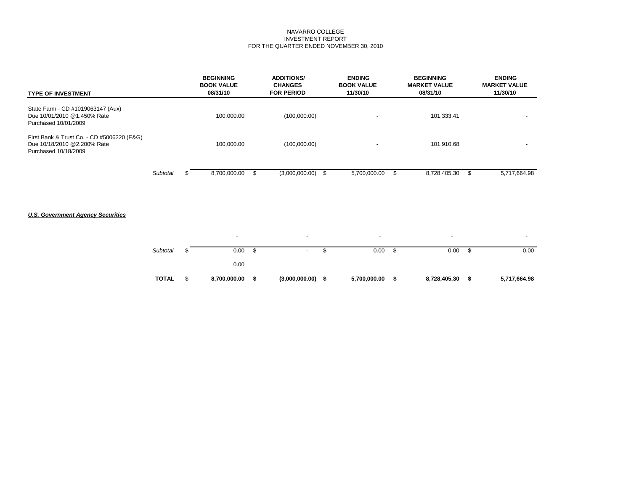## NAVARRO COLLEGE INVESTMENT REPORT FOR THE QUARTER ENDED NOVEMBER 30, 2010

| <b>TYPE OF INVESTMENT</b>                                                                         |          | <b>BEGINNING</b><br><b>BOOK VALUE</b><br>08/31/10 | <b>ADDITIONS/</b><br><b>CHANGES</b><br><b>FOR PERIOD</b> | <b>ENDING</b><br><b>BOOK VALUE</b><br>11/30/10 | <b>BEGINNING</b><br><b>MARKET VALUE</b><br>08/31/10 |    | <b>ENDING</b><br><b>MARKET VALUE</b><br>11/30/10 |
|---------------------------------------------------------------------------------------------------|----------|---------------------------------------------------|----------------------------------------------------------|------------------------------------------------|-----------------------------------------------------|----|--------------------------------------------------|
| State Farm - CD #1019063147 (Aux)<br>Due 10/01/2010 @1.450% Rate<br>Purchased 10/01/2009          |          | 100.000.00                                        | (100,000.00)                                             | $\overline{\phantom{0}}$                       | 101,333.41                                          |    |                                                  |
| First Bank & Trust Co. - CD #5006220 (E&G)<br>Due 10/18/2010 @2.200% Rate<br>Purchased 10/18/2009 |          | 100.000.00                                        | (100,000.00)                                             |                                                | 101,910.68                                          |    |                                                  |
|                                                                                                   | Subtotal | 8,700,000.00                                      | $(3,000,000.00)$ \$                                      | 5,700,000.00                                   | 8,728,405.30                                        | ж, | 5,717,664.98                                     |

# *U.S. Government Agency Securities*

| <b>TOTAL</b> | 8,700,000.00             | \$ | $(3,000,000.00)$ \$      | 5,700,000.00             | S | 8,728,405.30             | S  | 5,717,664.98 |
|--------------|--------------------------|----|--------------------------|--------------------------|---|--------------------------|----|--------------|
|              | 0.00                     |    |                          |                          |   |                          |    |              |
| Subtotal     | 0.00                     | S  | $\overline{\phantom{a}}$ | 0.00                     | J | 0.00                     | ึง | 0.00         |
|              | $\overline{\phantom{a}}$ |    | $\overline{\phantom{a}}$ | $\overline{\phantom{a}}$ |   | $\overline{\phantom{0}}$ |    |              |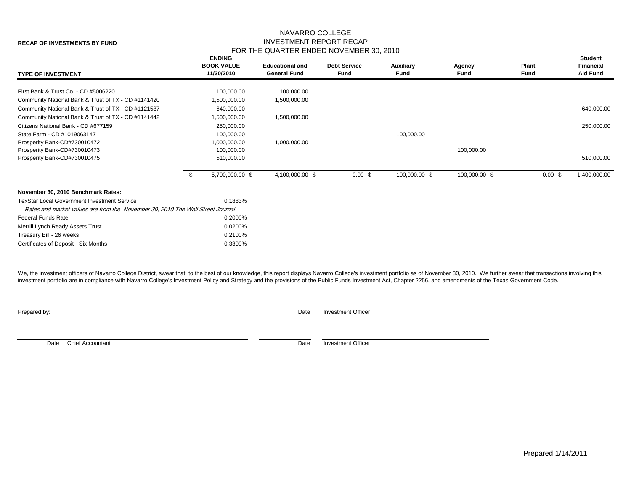# NAVARRO COLLEGE INVESTMENT REPORT RECAP FOR THE QUARTER ENDED NOVEMBER 30, 2010

| <b>TYPE OF INVESTMENT</b>                                                      |      | <b>ENDING</b><br><b>BOOK VALUE</b><br>11/30/2010 | <b>Educational and</b><br><b>General Fund</b> | <b>Debt Service</b><br><b>Fund</b> | Auxiliary<br>Fund | Agency<br>Fund | Plant<br>Fund      | <b>Student</b><br><b>Financial</b><br><b>Aid Fund</b> |
|--------------------------------------------------------------------------------|------|--------------------------------------------------|-----------------------------------------------|------------------------------------|-------------------|----------------|--------------------|-------------------------------------------------------|
| First Bank & Trust Co. - CD #5006220                                           |      | 100,000.00                                       | 100,000.00                                    |                                    |                   |                |                    |                                                       |
| Community National Bank & Trust of TX - CD #1141420                            |      | 1,500,000.00                                     | 1,500,000.00                                  |                                    |                   |                |                    |                                                       |
| Community National Bank & Trust of TX - CD #1121587                            |      | 640,000.00                                       |                                               |                                    |                   |                |                    | 640,000.00                                            |
| Community National Bank & Trust of TX - CD #1141442                            |      | 1,500,000.00                                     | 1,500,000.00                                  |                                    |                   |                |                    |                                                       |
| Citizens National Bank - CD #677159                                            |      | 250,000.00                                       |                                               |                                    |                   |                |                    | 250,000.00                                            |
| State Farm - CD #1019063147                                                    |      | 100,000.00                                       |                                               |                                    | 100,000.00        |                |                    |                                                       |
| Prosperity Bank-CD#730010472                                                   |      | 1,000,000.00                                     | 1,000,000.00                                  |                                    |                   |                |                    |                                                       |
| Prosperity Bank-CD#730010473                                                   |      | 100,000.00                                       |                                               |                                    |                   | 100,000.00     |                    |                                                       |
| Prosperity Bank-CD#730010475                                                   |      | 510,000.00                                       |                                               |                                    |                   |                |                    | 510,000.00                                            |
|                                                                                | - \$ | 5,700,000.00 \$                                  | 4,100,000.00 \$                               | 0.00~\$                            | 100,000.00 \$     | 100,000.00 \$  | $0.00 \text{ }$ \$ | 1,400,000.00                                          |
| November 30, 2010 Benchmark Rates:                                             |      |                                                  |                                               |                                    |                   |                |                    |                                                       |
| <b>TexStar Local Government Investment Service</b>                             |      | 0.1883%                                          |                                               |                                    |                   |                |                    |                                                       |
| Rates and market values are from the November 30, 2010 The Wall Street Journal |      |                                                  |                                               |                                    |                   |                |                    |                                                       |
| <b>Federal Funds Rate</b>                                                      |      | 0.2000%                                          |                                               |                                    |                   |                |                    |                                                       |
| Merrill Lynch Ready Assets Trust                                               |      | 0.0200%                                          |                                               |                                    |                   |                |                    |                                                       |
| Treasury Bill - 26 weeks                                                       |      | 0.2100%                                          |                                               |                                    |                   |                |                    |                                                       |
| Certificates of Deposit - Six Months                                           |      | 0.3300%                                          |                                               |                                    |                   |                |                    |                                                       |

We, the investment officers of Navarro College District, swear that, to the best of our knowledge, this report displays Navarro College's investment portfolio as of November 30, 2010. We further swear that transactions inv investment portfolio are in compliance with Navarro College's Investment Policy and Strategy and the provisions of the Public Funds Investment Act, Chapter 2256, and amendments of the Texas Government Code.

**Prepared by:** Date Investment Officer

Date Chief Accountant Date investment Officer

**RECAP OF INVESTMENTS BY FUND**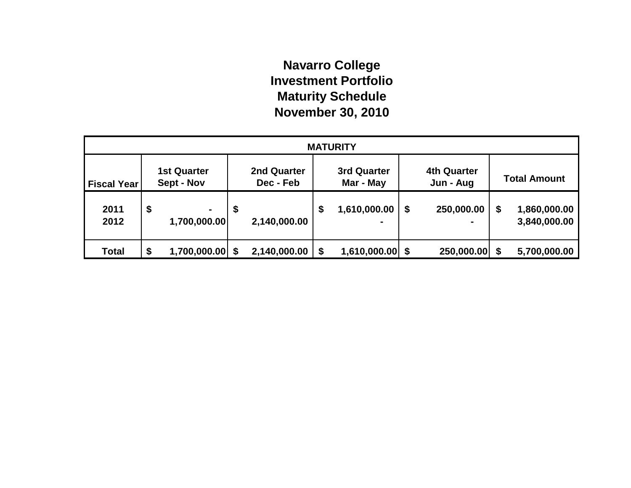# **Navarro College Investment Portfolio Maturity Schedule November 30, 2010**

| <b>MATURITY</b>    |    |                                  |    |                          |    |                                 |    |                                 |  |                              |  |
|--------------------|----|----------------------------------|----|--------------------------|----|---------------------------------|----|---------------------------------|--|------------------------------|--|
| <b>Fiscal Year</b> |    | <b>1st Quarter</b><br>Sept - Nov |    | 2nd Quarter<br>Dec - Feb |    | <b>3rd Quarter</b><br>Mar - May |    | <b>4th Quarter</b><br>Jun - Aug |  | <b>Total Amount</b>          |  |
| 2011<br>2012       | \$ | $\blacksquare$<br>1,700,000.00   | \$ | 2,140,000.00             | \$ | 1,610,000.00                    | \$ | 250,000.00                      |  | 1,860,000.00<br>3,840,000.00 |  |
| <b>Total</b>       | \$ | 1,700,000.00                     |    | 2,140,000.00             | \$ | $1,610,000.00$ \$               |    | 250,000.00 \$                   |  | 5,700,000.00                 |  |